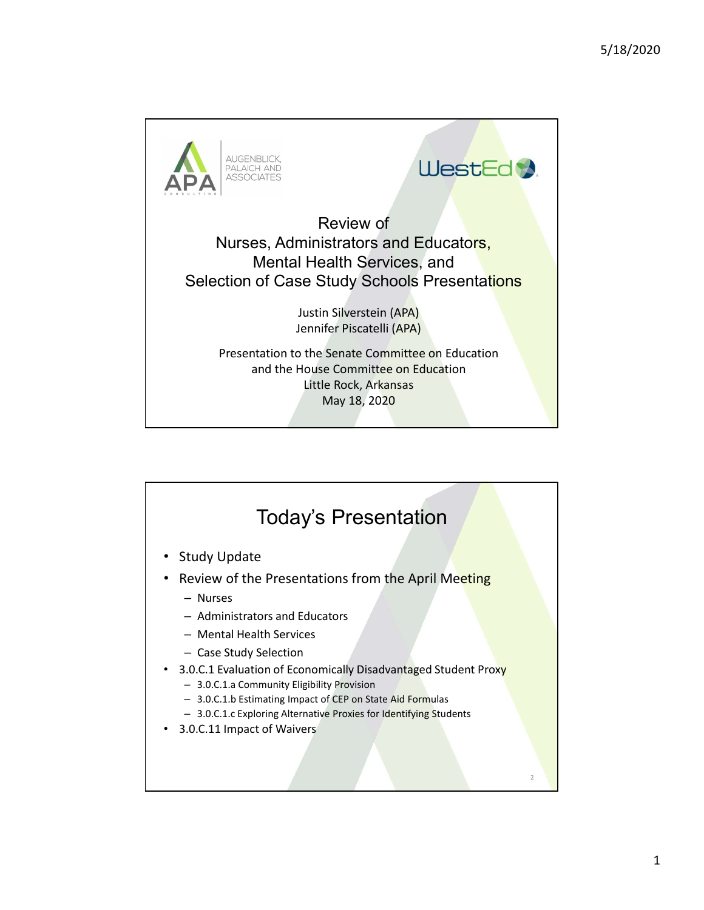

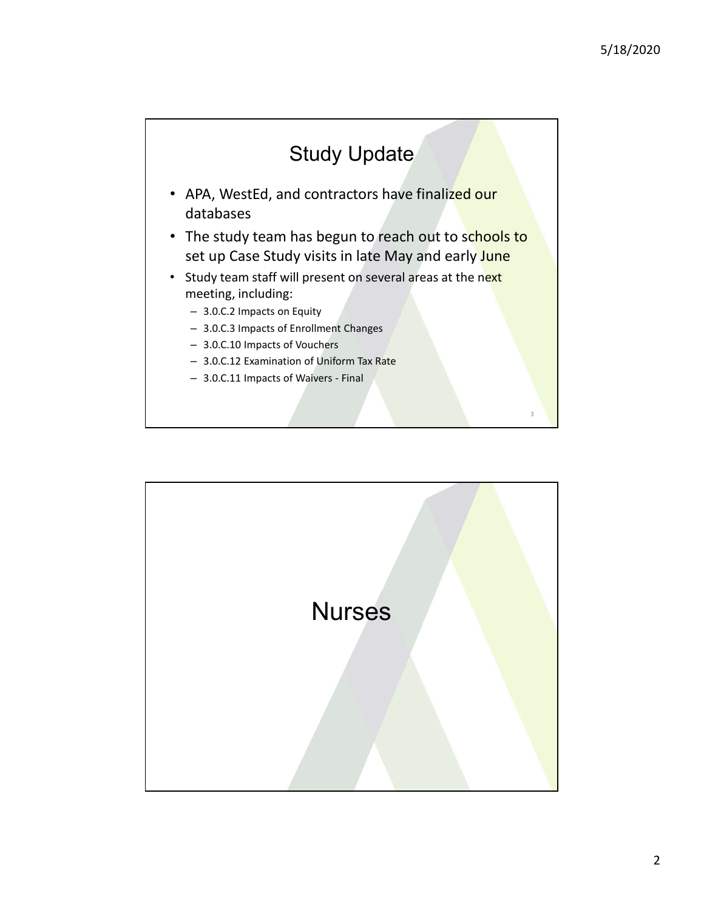

- APA, WestEd, and contractors have finalized our databases
- The study team has begun to reach out to schools to set up Case Study visits in late May and early June Study Update<br>
APA, WestEd, and contractors have finalized our<br>
latabases<br>
The study team has begun to reach out to schools to<br>
tuty team staff will present on several areas at the next<br>
neeting, including:<br>
- 3.0.C.2 Impac
- Study team staff will present on several areas at the next meeting, including:
	- 3.0.C.2 Impacts on Equity
	- 3.0.C.3 Impacts of Enrollment Changes
	- 3.0.C.10 Impacts of Vouchers
	- 3.0.C.12 Examination of Uniform Tax Rate
	-

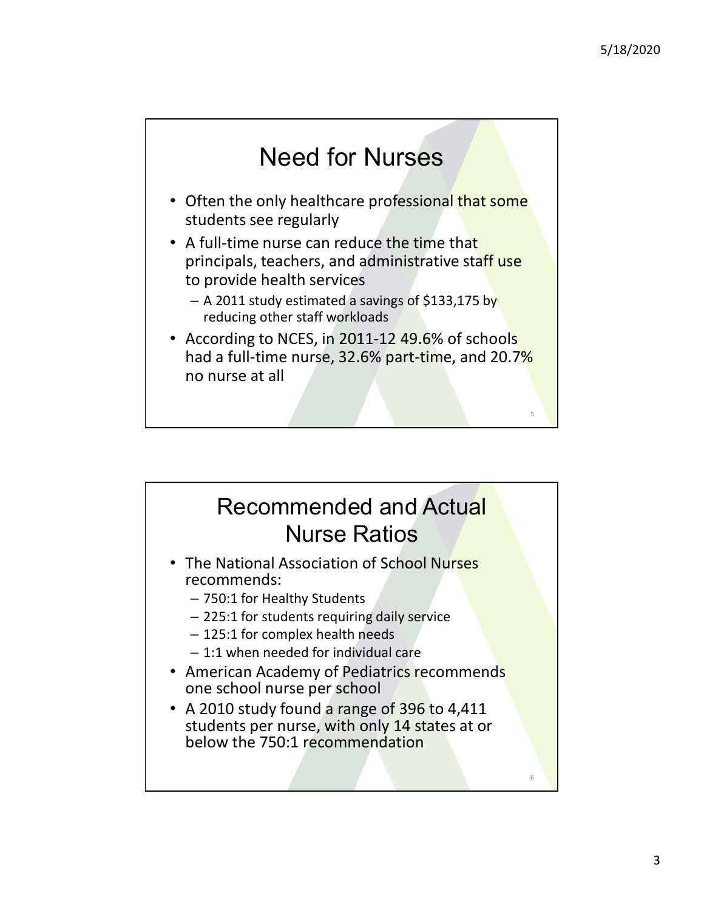$5<sup>th</sup>$  and  $5<sup>th</sup>$  and  $5<sup>th</sup>$  and  $5<sup>th</sup>$  and  $5<sup>th</sup>$  and  $5<sup>th</sup>$ 

## Need for Nurses

- Often the only healthcare professional that some students see regularly
- A full-time nurse can reduce the time that principals, teachers, and administrative staff use to provide health services
	- $-$  A 2011 study estimated a savings of \$133,175 by reducing other staff workloads
- According to NCES, in 2011-12 49.6% of schools had a full-time nurse, 32.6% part-time, and 20.7% no nurse at all

### Recommended and Actual Nurse Ratios

- The National Association of School Nurses recommends:
	- 750:1 for Healthy Students
	- 225:1 for students requiring daily service
	- 125:1 for complex health needs
	- 1:1 when needed for individual care
- American Academy of Pediatrics recommends one school nurse per school
- A 2010 study found a range of 396 to 4,411 students per nurse, with only 14 states at or below the 750:1 recommendation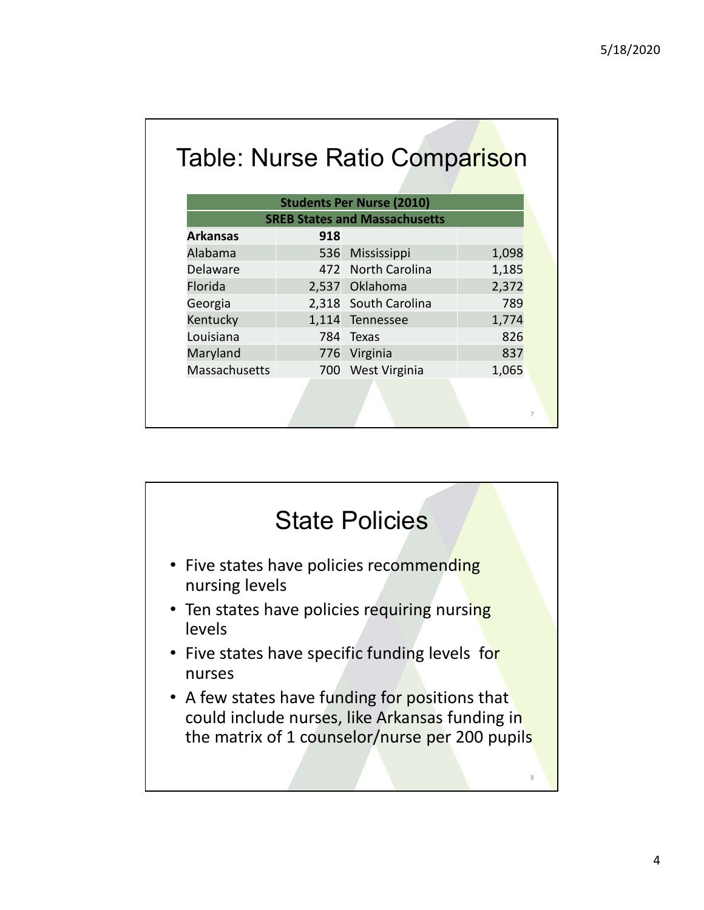|                 |     | <b>Table: Nurse Ratio Comparison</b> |       |
|-----------------|-----|--------------------------------------|-------|
|                 |     |                                      |       |
|                 |     | <b>Students Per Nurse (2010)</b>     |       |
|                 |     | <b>SREB States and Massachusetts</b> |       |
|                 | 918 |                                      |       |
| <b>Arkansas</b> |     |                                      |       |
| Alabama         | 536 | Mississippi                          | 1,098 |
| Delaware        | 472 | <b>North Carolina</b>                | 1,185 |
| Florida         |     | 2,537 Oklahoma                       | 2,372 |
| Georgia         |     | 2,318 South Carolina                 | 789   |
| Kentucky        |     | 1,114 Tennessee                      | 1,774 |
| Louisiana       |     | 784 Texas                            | 826   |
| Maryland        |     | 776 Virginia                         | 837   |
| Massachusetts   |     | 700 West Virginia                    | 1,065 |

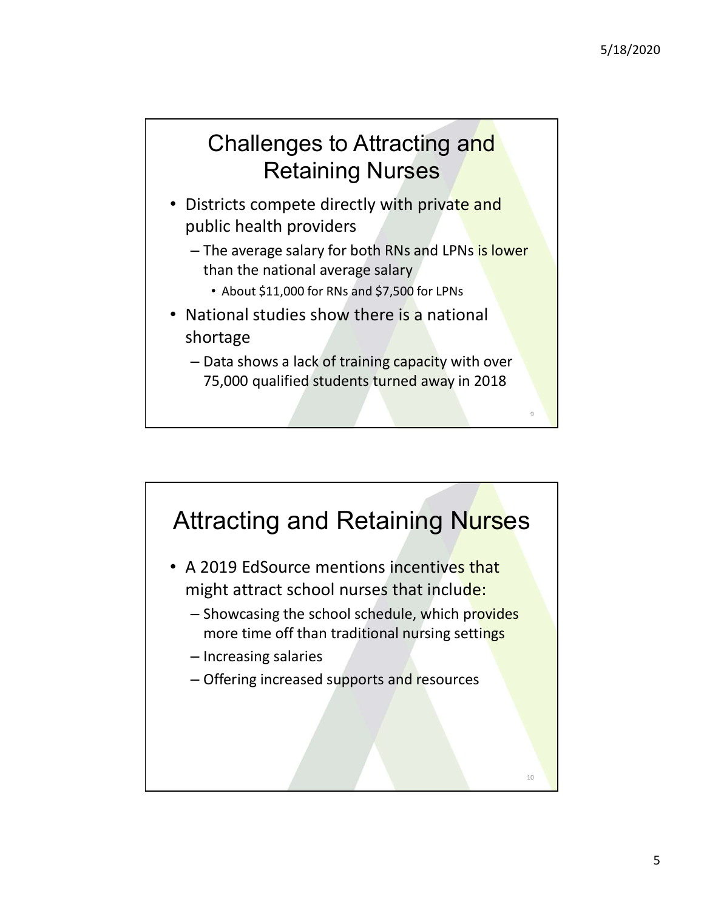9 and 1980 and 1980 and 1980 and 1980 and 1980 and 1980 and 1980 and 1980 and 1980 and 1980 and 1980 and 1980

### Challenges to Attracting and Retaining Nurses

- Districts compete directly with private and public health providers
	- The average salary for both RNs and LPNs is lower than the national average salary
		- About \$11,000 for RNs and \$7,500 for LPNs
- National studies show there is a national shortage
	- Data shows a lack of training capacity with over 75,000 qualified students turned away in 2018

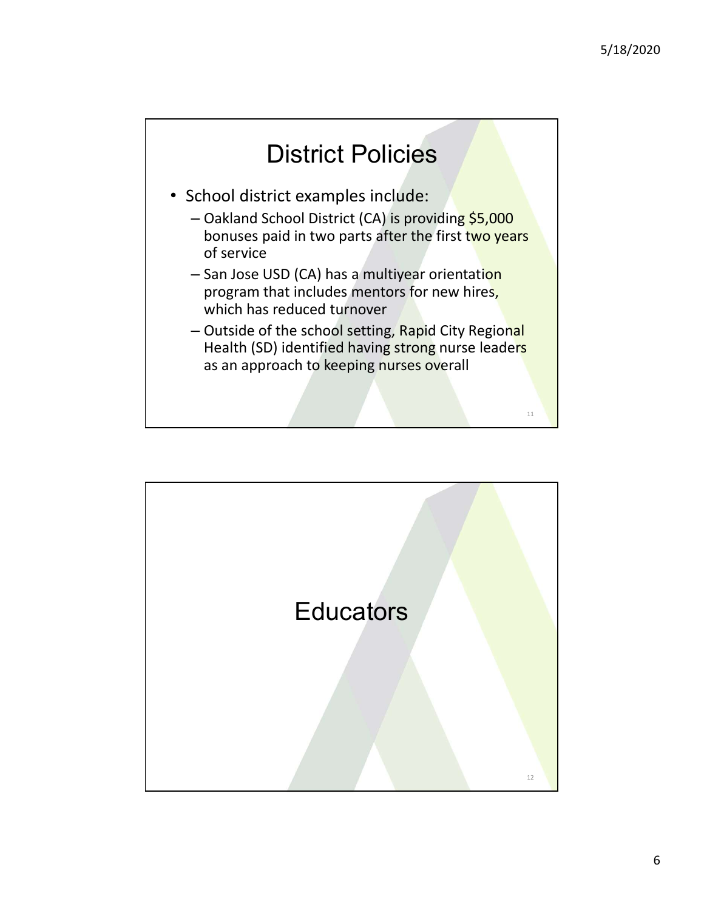11 and the contract of the contract of the contract of the contract of the contract of the contract of the contract of the contract of the contract of the contract of the contract of the contract of the contract of the con

# District Policies

- School district examples include:
	- Oakland School District (CA) is providing \$5,000 bonuses paid in two parts after the first two years of service
	- San Jose USD (CA) has a multiyear orientation program that includes mentors for new hires, which has reduced turnover
	- Outside of the school setting, Rapid City Regional Health (SD) identified having strong nurse leaders as an approach to keeping nurses overall

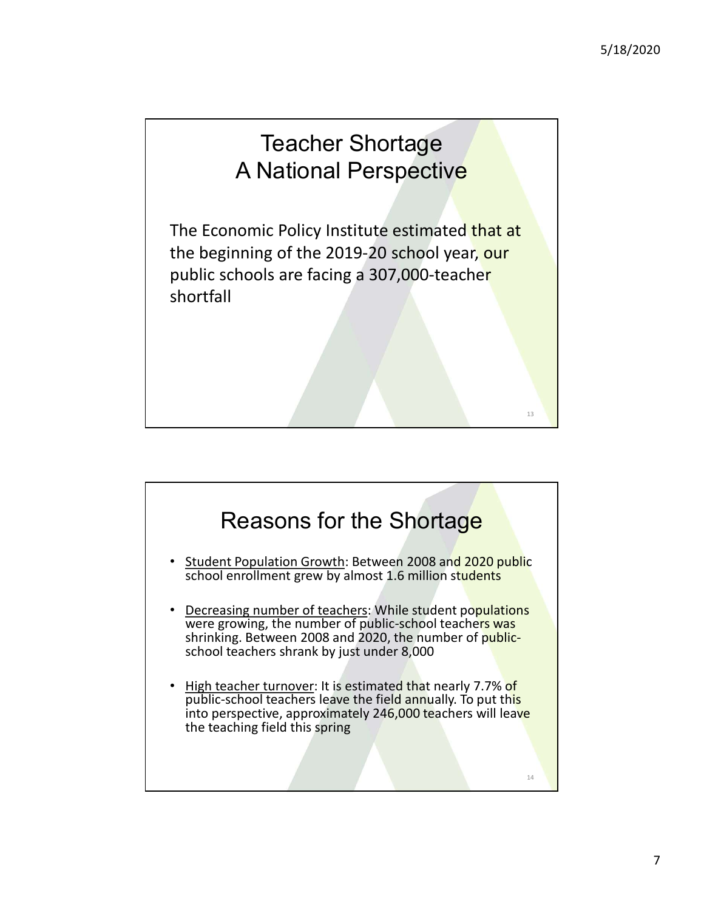#### Teacher Shortage A National Perspective

The Economic Policy Institute estimated that at the beginning of the 2019-20 school year, our public schools are facing a 307,000-teacher shortfall 13

#### Reasons for the Shortage

- Student Population Growth: Between 2008 and 2020 public school enrollment grew by almost 1.6 million students
- Decreasing number of teachers: While student populations were growing, the number of public-school teachers was shrinking. Between 2008 and 2020, the number of publicschool teachers shrank by just under 8,000
- High teacher turnover: It is estimated that nearly 7.7% of public-school teachers leave the field annually. To put this **Public-school teachers leave the field annually.** The state of the field and the field and the field annual teachers in the put this state of province the field annual teachers with shrinking. Between 2008 and 2020, the n into perspective, approximately 246,000 teachers will leave<br>the teaching field this spring the teaching field this spring 14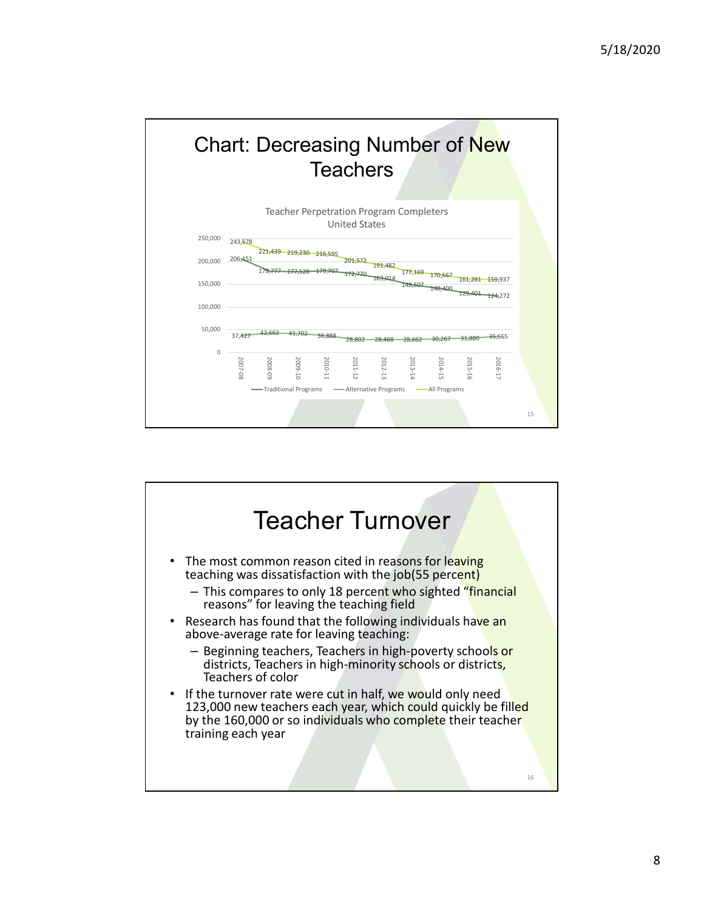

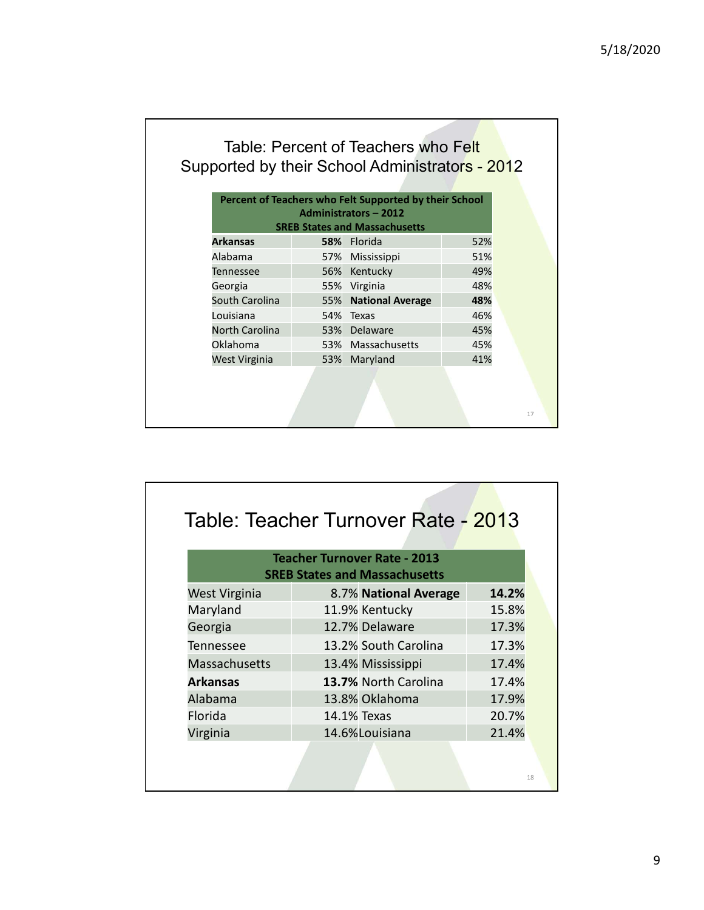| Table: Percent of Teachers who Felt             |  |
|-------------------------------------------------|--|
| Supported by their School Administrators - 2012 |  |

| 5/18/2020<br>Table: Percent of Teachers who Felt<br>Percent of Teachers who Felt Supported by their School<br><b>Administrators - 2012</b><br><b>SREB States and Massachusetts</b><br><b>Arkansas</b><br>52%<br>58% Florida<br>Alabama<br>Mississippi<br>51%<br>57%<br>Kentucky<br>49%<br>Tennessee<br>56%<br>48%<br>55%<br>Virginia<br>Georgia<br><b>National Average</b><br>48%<br>South Carolina<br>55%<br>54% Texas<br>46%<br>Louisiana<br>North Carolina<br>53% Delaware<br>45%<br>Oklahoma<br>Massachusetts<br>45%<br>53%<br>West Virginia<br>Maryland<br>41%<br>53% | 17 |  | Supported by their School Administrators - 2012 | <b>Teacher Turnover Rate - 2013</b><br><b>SREB States and Massachusetts</b><br>West Virginia<br>8.7% National Average<br>14.2% |  |  |
|----------------------------------------------------------------------------------------------------------------------------------------------------------------------------------------------------------------------------------------------------------------------------------------------------------------------------------------------------------------------------------------------------------------------------------------------------------------------------------------------------------------------------------------------------------------------------|----|--|-------------------------------------------------|--------------------------------------------------------------------------------------------------------------------------------|--|--|
|                                                                                                                                                                                                                                                                                                                                                                                                                                                                                                                                                                            |    |  |                                                 |                                                                                                                                |  |  |
|                                                                                                                                                                                                                                                                                                                                                                                                                                                                                                                                                                            |    |  |                                                 |                                                                                                                                |  |  |
|                                                                                                                                                                                                                                                                                                                                                                                                                                                                                                                                                                            |    |  |                                                 |                                                                                                                                |  |  |
|                                                                                                                                                                                                                                                                                                                                                                                                                                                                                                                                                                            |    |  |                                                 |                                                                                                                                |  |  |
|                                                                                                                                                                                                                                                                                                                                                                                                                                                                                                                                                                            |    |  |                                                 |                                                                                                                                |  |  |
|                                                                                                                                                                                                                                                                                                                                                                                                                                                                                                                                                                            |    |  |                                                 |                                                                                                                                |  |  |
|                                                                                                                                                                                                                                                                                                                                                                                                                                                                                                                                                                            |    |  |                                                 |                                                                                                                                |  |  |
|                                                                                                                                                                                                                                                                                                                                                                                                                                                                                                                                                                            |    |  |                                                 |                                                                                                                                |  |  |
|                                                                                                                                                                                                                                                                                                                                                                                                                                                                                                                                                                            |    |  |                                                 |                                                                                                                                |  |  |
|                                                                                                                                                                                                                                                                                                                                                                                                                                                                                                                                                                            |    |  |                                                 |                                                                                                                                |  |  |
|                                                                                                                                                                                                                                                                                                                                                                                                                                                                                                                                                                            |    |  |                                                 |                                                                                                                                |  |  |
|                                                                                                                                                                                                                                                                                                                                                                                                                                                                                                                                                                            |    |  |                                                 |                                                                                                                                |  |  |
|                                                                                                                                                                                                                                                                                                                                                                                                                                                                                                                                                                            |    |  |                                                 |                                                                                                                                |  |  |
|                                                                                                                                                                                                                                                                                                                                                                                                                                                                                                                                                                            |    |  |                                                 |                                                                                                                                |  |  |
|                                                                                                                                                                                                                                                                                                                                                                                                                                                                                                                                                                            |    |  |                                                 |                                                                                                                                |  |  |
|                                                                                                                                                                                                                                                                                                                                                                                                                                                                                                                                                                            |    |  |                                                 |                                                                                                                                |  |  |
|                                                                                                                                                                                                                                                                                                                                                                                                                                                                                                                                                                            |    |  |                                                 |                                                                                                                                |  |  |
|                                                                                                                                                                                                                                                                                                                                                                                                                                                                                                                                                                            |    |  |                                                 |                                                                                                                                |  |  |
|                                                                                                                                                                                                                                                                                                                                                                                                                                                                                                                                                                            |    |  |                                                 |                                                                                                                                |  |  |
|                                                                                                                                                                                                                                                                                                                                                                                                                                                                                                                                                                            |    |  |                                                 |                                                                                                                                |  |  |
|                                                                                                                                                                                                                                                                                                                                                                                                                                                                                                                                                                            |    |  |                                                 |                                                                                                                                |  |  |
|                                                                                                                                                                                                                                                                                                                                                                                                                                                                                                                                                                            |    |  |                                                 |                                                                                                                                |  |  |
|                                                                                                                                                                                                                                                                                                                                                                                                                                                                                                                                                                            |    |  |                                                 |                                                                                                                                |  |  |
|                                                                                                                                                                                                                                                                                                                                                                                                                                                                                                                                                                            |    |  |                                                 |                                                                                                                                |  |  |
|                                                                                                                                                                                                                                                                                                                                                                                                                                                                                                                                                                            |    |  |                                                 |                                                                                                                                |  |  |
|                                                                                                                                                                                                                                                                                                                                                                                                                                                                                                                                                                            |    |  |                                                 |                                                                                                                                |  |  |
|                                                                                                                                                                                                                                                                                                                                                                                                                                                                                                                                                                            |    |  |                                                 |                                                                                                                                |  |  |
|                                                                                                                                                                                                                                                                                                                                                                                                                                                                                                                                                                            |    |  |                                                 |                                                                                                                                |  |  |
|                                                                                                                                                                                                                                                                                                                                                                                                                                                                                                                                                                            |    |  |                                                 |                                                                                                                                |  |  |
|                                                                                                                                                                                                                                                                                                                                                                                                                                                                                                                                                                            |    |  |                                                 |                                                                                                                                |  |  |
|                                                                                                                                                                                                                                                                                                                                                                                                                                                                                                                                                                            |    |  |                                                 |                                                                                                                                |  |  |
|                                                                                                                                                                                                                                                                                                                                                                                                                                                                                                                                                                            |    |  |                                                 |                                                                                                                                |  |  |
|                                                                                                                                                                                                                                                                                                                                                                                                                                                                                                                                                                            |    |  | Table: Teacher Turnover Rate - 2013             |                                                                                                                                |  |  |
|                                                                                                                                                                                                                                                                                                                                                                                                                                                                                                                                                                            |    |  |                                                 |                                                                                                                                |  |  |
|                                                                                                                                                                                                                                                                                                                                                                                                                                                                                                                                                                            |    |  |                                                 |                                                                                                                                |  |  |
|                                                                                                                                                                                                                                                                                                                                                                                                                                                                                                                                                                            |    |  |                                                 |                                                                                                                                |  |  |

| 48%<br>Georgia<br>55% Virginia<br>South Carolina<br><b>National Average</b><br>48%<br>55%<br>Louisiana<br>Texas<br>46%<br>54%<br>North Carolina<br>53%<br>Delaware<br>45%<br>Oklahoma<br>Massachusetts<br>45%<br>53%<br>41%<br>West Virginia<br>Maryland<br>53%<br>17<br><b>Teacher Turnover Rate - 2013</b><br><b>SREB States and Massachusetts</b> |                                                        |
|------------------------------------------------------------------------------------------------------------------------------------------------------------------------------------------------------------------------------------------------------------------------------------------------------------------------------------------------------|--------------------------------------------------------|
|                                                                                                                                                                                                                                                                                                                                                      | Table: Teacher Turnover Rate - 2013                    |
|                                                                                                                                                                                                                                                                                                                                                      |                                                        |
|                                                                                                                                                                                                                                                                                                                                                      |                                                        |
|                                                                                                                                                                                                                                                                                                                                                      |                                                        |
|                                                                                                                                                                                                                                                                                                                                                      |                                                        |
|                                                                                                                                                                                                                                                                                                                                                      |                                                        |
|                                                                                                                                                                                                                                                                                                                                                      |                                                        |
|                                                                                                                                                                                                                                                                                                                                                      |                                                        |
|                                                                                                                                                                                                                                                                                                                                                      | <b>West Virginia</b><br>8.7% National Average<br>14.2% |
|                                                                                                                                                                                                                                                                                                                                                      | Maryland<br>11.9% Kentucky                             |
| 15.8%                                                                                                                                                                                                                                                                                                                                                | 12.7% Delaware<br>Georgia                              |
| 17.3%                                                                                                                                                                                                                                                                                                                                                | Tennessee<br>13.2% South Carolina                      |
| 17.3%                                                                                                                                                                                                                                                                                                                                                | Massachusetts                                          |
| 17.4%                                                                                                                                                                                                                                                                                                                                                | <b>Arkansas</b><br>13.7% North Carolina                |
| 13.4% Mississippi                                                                                                                                                                                                                                                                                                                                    |                                                        |
| 17.4%                                                                                                                                                                                                                                                                                                                                                |                                                        |
| Alabama<br>13.8% Oklahoma<br>17.9%                                                                                                                                                                                                                                                                                                                   |                                                        |
| Florida<br>14.1% Texas<br>20.7%                                                                                                                                                                                                                                                                                                                      |                                                        |
| 14.6%Louisiana<br>Virginia<br>21.4%                                                                                                                                                                                                                                                                                                                  | 18                                                     |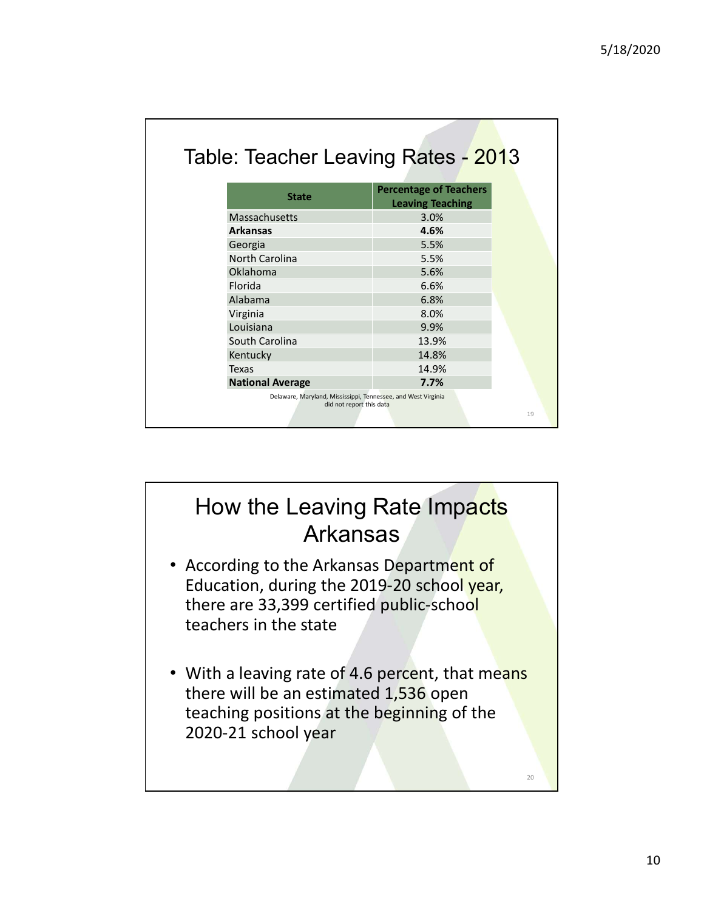| 5/18/2020<br><b>Percentage of Teachers</b><br><b>State</b><br><b>Leaving Teaching</b><br>3.0%<br>4.6%<br>5.5%<br>5.5%<br>5.6%<br>6.6%<br>6.8%<br>8.0%<br>9.9%<br>13.9%<br>14.8%<br>14.9%<br>7.7% |                                                                                                    |                                                                                           |  |
|--------------------------------------------------------------------------------------------------------------------------------------------------------------------------------------------------|----------------------------------------------------------------------------------------------------|-------------------------------------------------------------------------------------------|--|
| Table: Teacher Leaving Rates - 2013                                                                                                                                                              |                                                                                                    |                                                                                           |  |
|                                                                                                                                                                                                  |                                                                                                    |                                                                                           |  |
|                                                                                                                                                                                                  |                                                                                                    |                                                                                           |  |
|                                                                                                                                                                                                  |                                                                                                    |                                                                                           |  |
|                                                                                                                                                                                                  |                                                                                                    |                                                                                           |  |
|                                                                                                                                                                                                  |                                                                                                    |                                                                                           |  |
|                                                                                                                                                                                                  |                                                                                                    |                                                                                           |  |
|                                                                                                                                                                                                  |                                                                                                    |                                                                                           |  |
|                                                                                                                                                                                                  |                                                                                                    |                                                                                           |  |
|                                                                                                                                                                                                  |                                                                                                    |                                                                                           |  |
|                                                                                                                                                                                                  |                                                                                                    |                                                                                           |  |
|                                                                                                                                                                                                  | Massachusetts<br><b>Arkansas</b>                                                                   |                                                                                           |  |
|                                                                                                                                                                                                  |                                                                                                    |                                                                                           |  |
|                                                                                                                                                                                                  | Georgia<br>North Carolina                                                                          |                                                                                           |  |
|                                                                                                                                                                                                  |                                                                                                    |                                                                                           |  |
|                                                                                                                                                                                                  | Oklahoma<br>Florida                                                                                |                                                                                           |  |
|                                                                                                                                                                                                  |                                                                                                    |                                                                                           |  |
|                                                                                                                                                                                                  |                                                                                                    |                                                                                           |  |
|                                                                                                                                                                                                  |                                                                                                    |                                                                                           |  |
|                                                                                                                                                                                                  |                                                                                                    |                                                                                           |  |
|                                                                                                                                                                                                  |                                                                                                    |                                                                                           |  |
|                                                                                                                                                                                                  |                                                                                                    |                                                                                           |  |
|                                                                                                                                                                                                  | Alabama<br>Virginia<br>Louisiana<br>South Carolina<br>Kentucky<br>Texas<br><b>National Average</b> | Delaware, Maryland, Mississippi, Tennessee, and West Virginia<br>did not report this data |  |

## How the Leaving Rate Impacts Arkansas

- According to the Arkansas Department of Education, during the 2019-20 school year, there are 33,399 certified public-school teachers in the state
- With a leaving rate of 4.6 percent, that means there will be an estimated 1,536 open teaching positions at the beginning of the 2020-21 school year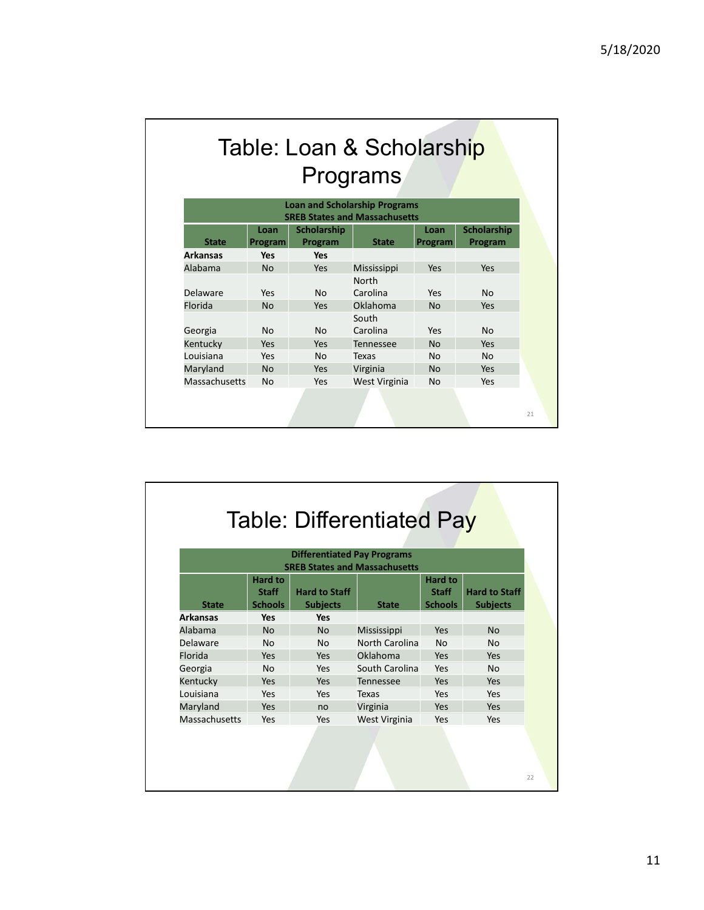# Table: Loan & Scholarship Programs

|                 |                 |                        | Table: Loan & Scholarship            |                 |                        |
|-----------------|-----------------|------------------------|--------------------------------------|-----------------|------------------------|
|                 |                 |                        | Programs                             |                 |                        |
|                 |                 |                        | <b>Loan and Scholarship Programs</b> |                 |                        |
|                 |                 |                        | <b>SREB States and Massachusetts</b> |                 |                        |
| <b>State</b>    | Loan<br>Program | Scholarship<br>Program | <b>State</b>                         | Loan<br>Program | Scholarship<br>Program |
| <b>Arkansas</b> | <b>Yes</b>      | Yes                    |                                      |                 |                        |
| Alabama         | <b>No</b>       | Yes                    | Mississippi                          | Yes             | Yes                    |
|                 |                 |                        | North                                |                 |                        |
| Delaware        | Yes             | No                     | Carolina                             | Yes             | No                     |
| Florida         | <b>No</b>       | Yes                    | Oklahoma<br>South                    | <b>No</b>       | Yes                    |
| Georgia         | No              | No                     | Carolina                             | Yes             | No                     |
| Kentucky        | Yes             | Yes                    | Tennessee                            | <b>No</b>       | Yes                    |
| Louisiana       | Yes             | No                     | Texas                                | No              | <b>No</b>              |
| Maryland        | <b>No</b>       | Yes                    | Virginia                             | <b>No</b>       | Yes                    |
|                 |                 | Yes                    | West Virginia                        | No              | Yes                    |
|                 | No              |                        |                                      |                 |                        |
| Massachusetts   |                 |                        |                                      |                 |                        |

| Georgia                                |                                |                                         | South                                |                                |                                         |    |
|----------------------------------------|--------------------------------|-----------------------------------------|--------------------------------------|--------------------------------|-----------------------------------------|----|
|                                        | No                             | <b>No</b>                               | Carolina                             | Yes                            | <b>No</b>                               |    |
| Kentucky                               | Yes                            | Yes                                     | Tennessee                            | <b>No</b>                      | Yes                                     |    |
| Louisiana                              | Yes                            | No                                      | <b>Texas</b>                         | <b>No</b>                      | <b>No</b>                               |    |
| Maryland                               | <b>No</b>                      | Yes                                     | Virginia                             | <b>No</b>                      | Yes                                     |    |
| Massachusetts                          | No                             | Yes                                     | West Virginia                        | No                             | Yes                                     |    |
|                                        |                                |                                         |                                      |                                |                                         |    |
|                                        |                                |                                         |                                      |                                |                                         | 21 |
|                                        |                                |                                         |                                      |                                |                                         |    |
|                                        |                                |                                         |                                      |                                |                                         |    |
|                                        |                                |                                         |                                      |                                |                                         |    |
|                                        |                                |                                         |                                      |                                |                                         |    |
|                                        |                                |                                         |                                      |                                |                                         |    |
|                                        |                                |                                         |                                      |                                |                                         |    |
|                                        |                                |                                         |                                      |                                |                                         |    |
|                                        |                                |                                         | <b>Table: Differentiated Pay</b>     |                                |                                         |    |
|                                        |                                |                                         |                                      |                                |                                         |    |
|                                        |                                | <b>Differentiated Pay Programs</b>      |                                      |                                |                                         |    |
|                                        |                                |                                         |                                      |                                |                                         |    |
|                                        |                                |                                         |                                      |                                |                                         |    |
|                                        |                                |                                         | <b>SREB States and Massachusetts</b> |                                |                                         |    |
|                                        | Hard to                        |                                         |                                      | Hard to                        |                                         |    |
| <b>State</b>                           | <b>Staff</b><br><b>Schools</b> | <b>Hard to Staff</b><br><b>Subjects</b> | <b>State</b>                         | <b>Staff</b><br><b>Schools</b> | <b>Hard to Staff</b><br><b>Subjects</b> |    |
|                                        | <b>Yes</b>                     | Yes                                     |                                      |                                |                                         |    |
|                                        | <b>No</b>                      | <b>No</b>                               | Mississippi                          | Yes                            | <b>No</b>                               |    |
| <b>Arkansas</b><br>Alabama<br>Delaware | No                             | No                                      | North Carolina                       | No                             | <b>No</b>                               |    |
| Florida                                | Yes                            | Yes                                     | Oklahoma                             | Yes                            | Yes                                     |    |
|                                        | No                             | Yes                                     | South Carolina                       | Yes                            | <b>No</b>                               |    |
| Georgia                                | Yes                            | Yes                                     |                                      | Yes                            | Yes                                     |    |
| Kentucky                               | Yes                            |                                         | Tennessee                            |                                |                                         |    |
| Louisiana                              |                                | Yes                                     | Texas                                | Yes                            | Yes                                     |    |
| Maryland                               | Yes                            | no                                      | Virginia                             | Yes                            | Yes                                     |    |
| Massachusetts                          | Yes                            | Yes                                     | West Virginia                        | Yes                            | Yes                                     |    |
|                                        |                                |                                         |                                      |                                |                                         |    |
|                                        |                                |                                         |                                      |                                |                                         |    |
|                                        |                                |                                         |                                      |                                |                                         |    |
|                                        |                                |                                         |                                      |                                |                                         | 22 |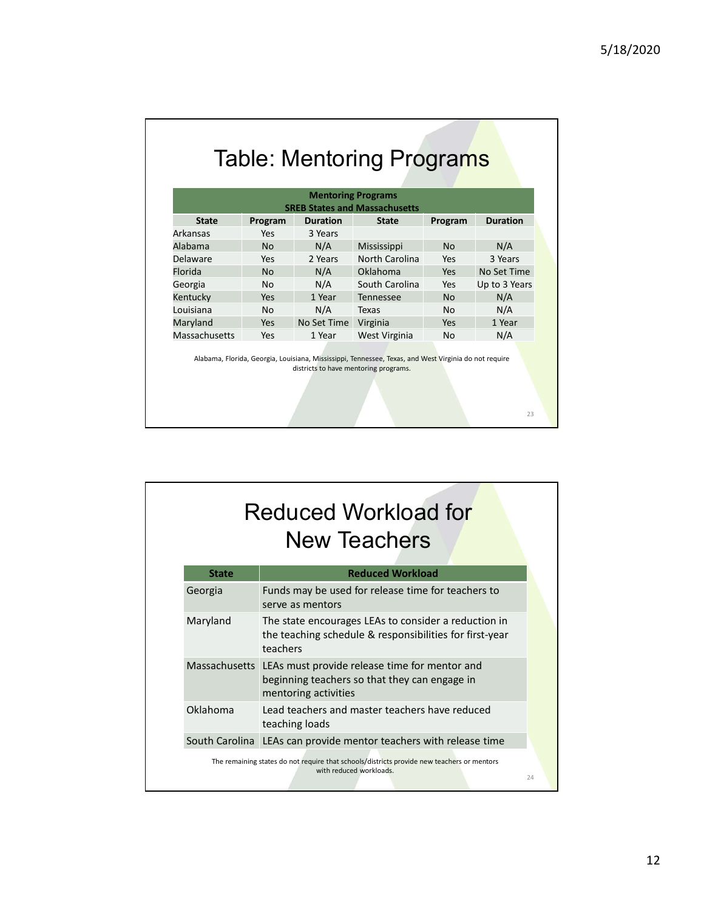## Table: Mentoring Programs

|                           |            |                                | <b>Table: Mentoring Programs</b>     |           |                 |
|---------------------------|------------|--------------------------------|--------------------------------------|-----------|-----------------|
|                           |            |                                |                                      |           |                 |
|                           |            |                                | <b>Mentoring Programs</b>            |           |                 |
|                           |            |                                | <b>SREB States and Massachusetts</b> |           |                 |
| <b>State</b>              | Program    | <b>Duration</b>                | <b>State</b>                         | Program   | <b>Duration</b> |
| Arkansas                  | Yes        | 3 Years                        |                                      |           |                 |
| Alabama                   | <b>No</b>  |                                |                                      | <b>No</b> |                 |
|                           |            | N/A                            | Mississippi                          |           | N/A             |
| Delaware                  | Yes        | 2 Years                        | North Carolina                       | Yes       | 3 Years         |
| Florida                   | <b>No</b>  | N/A                            | Oklahoma                             | Yes       | No Set Time     |
| Georgia                   | No         | N/A                            | South Carolina                       | Yes       | Up to 3 Years   |
| Kentucky                  | Yes        | 1 Year                         | Tennessee                            | No        | N/A             |
| Louisiana                 | No         | N/A                            | Texas                                | No        | N/A             |
| Maryland<br>Massachusetts | Yes<br>Yes | No Set Time Virginia<br>1 Year | West Virginia                        | Yes<br>No | 1 Year<br>N/A   |

|                                                                   | Yes            | 1 Year               | <b>Tennessee</b>                                                                                                                               | <b>No</b> | N/A    |  |
|-------------------------------------------------------------------|----------------|----------------------|------------------------------------------------------------------------------------------------------------------------------------------------|-----------|--------|--|
| Kentucky                                                          |                |                      |                                                                                                                                                |           |        |  |
| Louisiana                                                         | <b>No</b>      | N/A                  | Texas                                                                                                                                          | <b>No</b> | N/A    |  |
| Maryland                                                          | Yes            | No Set Time          | Virginia                                                                                                                                       | Yes       | 1 Year |  |
| Massachusetts                                                     | Yes            | 1 Year               | West Virginia                                                                                                                                  | No        | N/A    |  |
|                                                                   |                |                      | Alabama, Florida, Georgia, Louisiana, Mississippi, Tennessee, Texas, and West Virginia do not require<br>districts to have mentoring programs. |           |        |  |
|                                                                   |                |                      |                                                                                                                                                |           |        |  |
|                                                                   |                |                      |                                                                                                                                                |           | 23     |  |
|                                                                   |                |                      |                                                                                                                                                |           |        |  |
|                                                                   |                |                      | <b>Reduced Workload for</b>                                                                                                                    |           |        |  |
|                                                                   |                |                      |                                                                                                                                                |           |        |  |
|                                                                   |                |                      | <b>New Teachers</b>                                                                                                                            |           |        |  |
| <b>State</b>                                                      |                |                      | <b>Reduced Workload</b>                                                                                                                        |           |        |  |
| Georgia                                                           |                | serve as mentors     | Funds may be used for release time for teachers to                                                                                             |           |        |  |
| Maryland                                                          | teachers       |                      | The state encourages LEAs to consider a reduction in<br>the teaching schedule & responsibilities for first-year                                |           |        |  |
| Massachusetts LEAs must provide release time for mentor and       |                | mentoring activities | beginning teachers so that they can engage in                                                                                                  |           |        |  |
| Oklahoma                                                          | teaching loads |                      | Lead teachers and master teachers have reduced                                                                                                 |           |        |  |
| South Carolina LEAs can provide mentor teachers with release time |                |                      |                                                                                                                                                |           |        |  |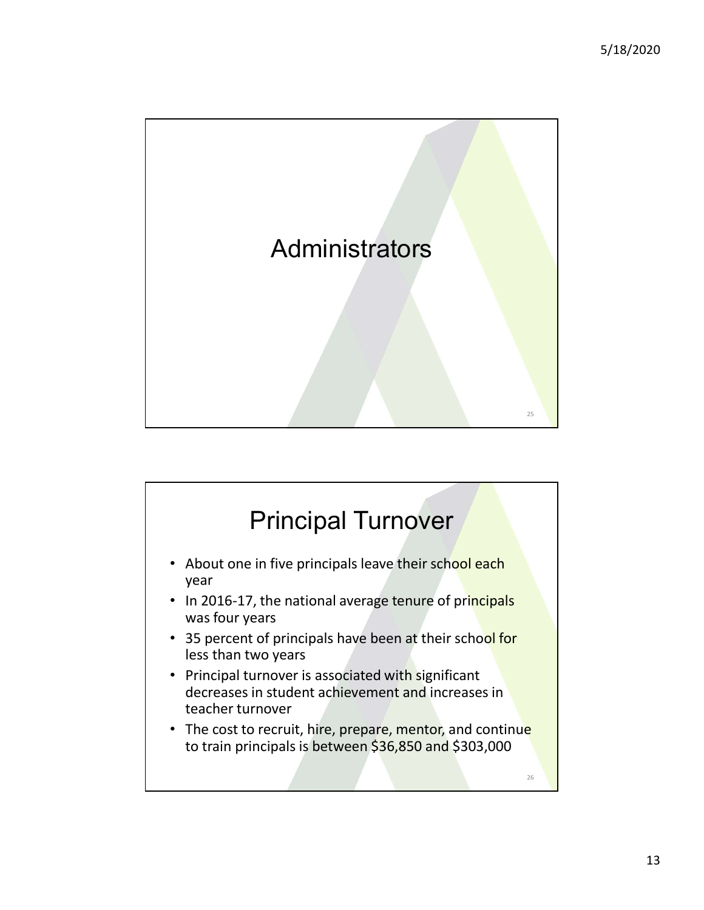

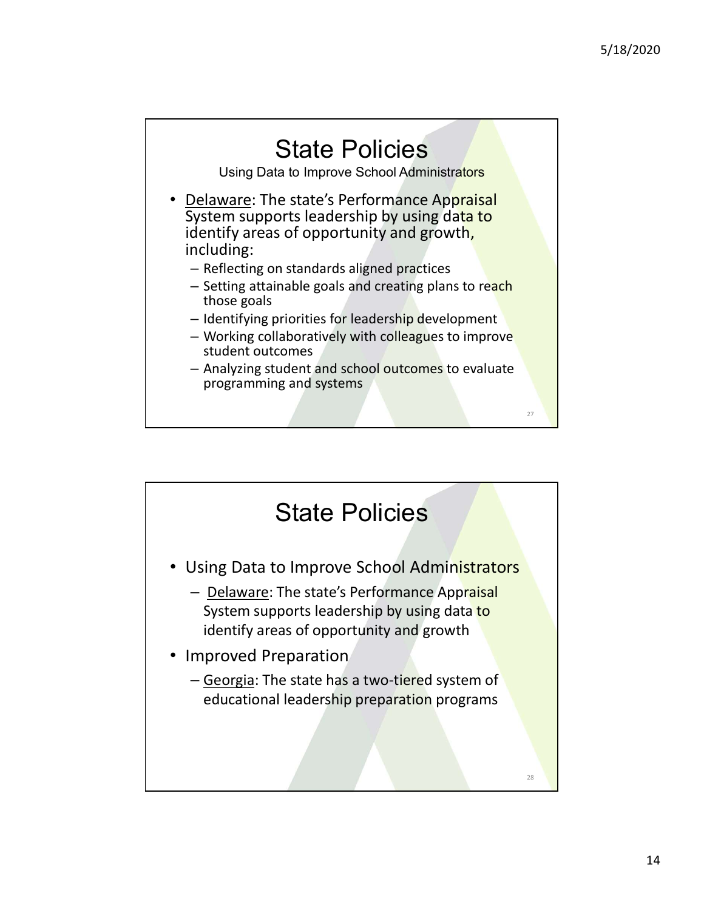

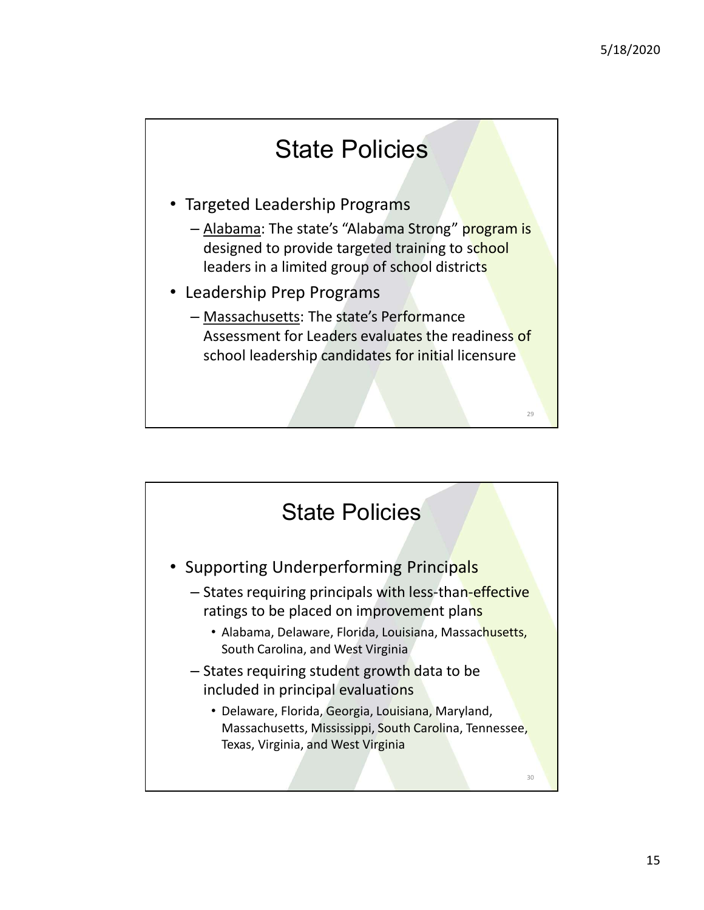29 and 20 and 20 and 20 and 20 and 20 and 20 and 20 and 20 and 20 and 20 and 20 and 20 and 20 and 20 and 20 an

## State Policies

- Targeted Leadership Programs
	- Alabama: The state's "Alabama Strong" program is designed to provide targeted training to school leaders in a limited group of school districts
- Leadership Prep Programs
	- Massachusetts: The state's Performance Assessment for Leaders evaluates the readiness of school leadership candidates for initial licensure

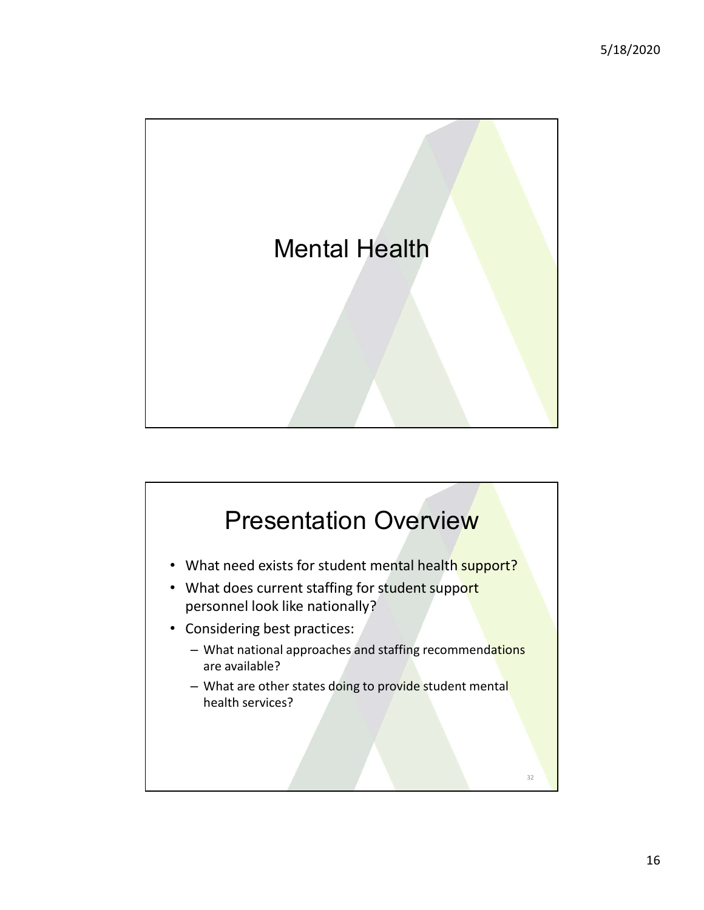

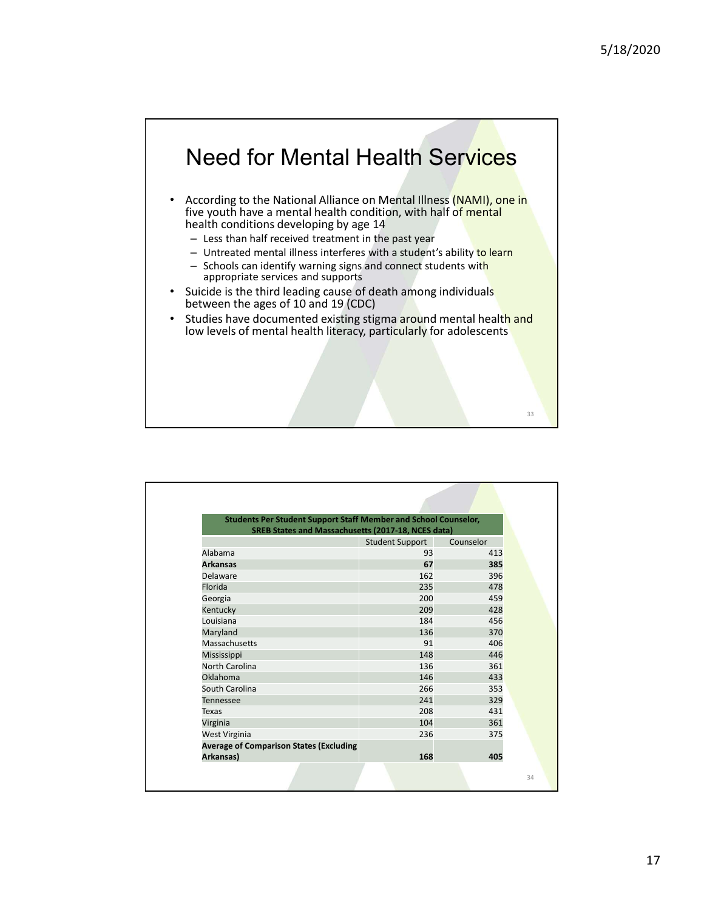

| appropriate services and supports                                             |                        |           |    |
|-------------------------------------------------------------------------------|------------------------|-----------|----|
| Suicide is the third leading cause of death among individuals<br>$\bullet$    |                        |           |    |
| between the ages of 10 and 19 (CDC)                                           |                        |           |    |
| Studies have documented existing stigma around mental health and<br>$\bullet$ |                        |           |    |
| low levels of mental health literacy, particularly for adolescents            |                        |           |    |
|                                                                               |                        |           |    |
|                                                                               |                        |           |    |
|                                                                               |                        |           |    |
|                                                                               |                        |           |    |
|                                                                               |                        |           |    |
|                                                                               |                        |           |    |
|                                                                               |                        |           | 33 |
|                                                                               |                        |           |    |
|                                                                               |                        |           |    |
|                                                                               |                        |           |    |
|                                                                               |                        |           |    |
|                                                                               |                        |           |    |
|                                                                               |                        |           |    |
|                                                                               |                        |           |    |
|                                                                               |                        |           |    |
|                                                                               |                        |           |    |
| <b>Students Per Student Support Staff Member and School Counselor,</b>        |                        |           |    |
| <b>SREB States and Massachusetts (2017-18, NCES data)</b>                     |                        |           |    |
|                                                                               | <b>Student Support</b> | Counselor |    |
| Alabama                                                                       | 93                     | 413       |    |
| <b>Arkansas</b>                                                               | 67                     | 385       |    |
| Delaware                                                                      | 162                    | 396       |    |
| Florida                                                                       | 235                    | 478       |    |
| Georgia                                                                       | 200                    | 459       |    |
| Kentucky                                                                      | 209                    | 428       |    |
| Louisiana                                                                     | 184                    | 456       |    |
| Maryland                                                                      | 136                    | 370       |    |
| Massachusetts                                                                 | 91                     | 406       |    |
| Mississippi                                                                   | 148                    | 446       |    |
| North Carolina                                                                | 136                    | 361       |    |
| Oklahoma                                                                      | 146                    | 433       |    |
| South Carolina                                                                | 266                    | 353       |    |
| Tennessee                                                                     | 241                    | 329       |    |
| <b>Texas</b>                                                                  | 208                    | 431       |    |
| Virginia                                                                      | 104                    | 361       |    |
| West Virginia                                                                 | 236                    | 375       |    |
| <b>Average of Comparison States (Excluding</b>                                |                        |           |    |
| Arkansas)                                                                     | 168                    | 405       |    |
|                                                                               |                        |           |    |
|                                                                               |                        |           | 34 |
|                                                                               |                        |           |    |
|                                                                               |                        |           |    |
|                                                                               |                        |           |    |
|                                                                               |                        |           |    |
|                                                                               |                        |           |    |
|                                                                               |                        |           |    |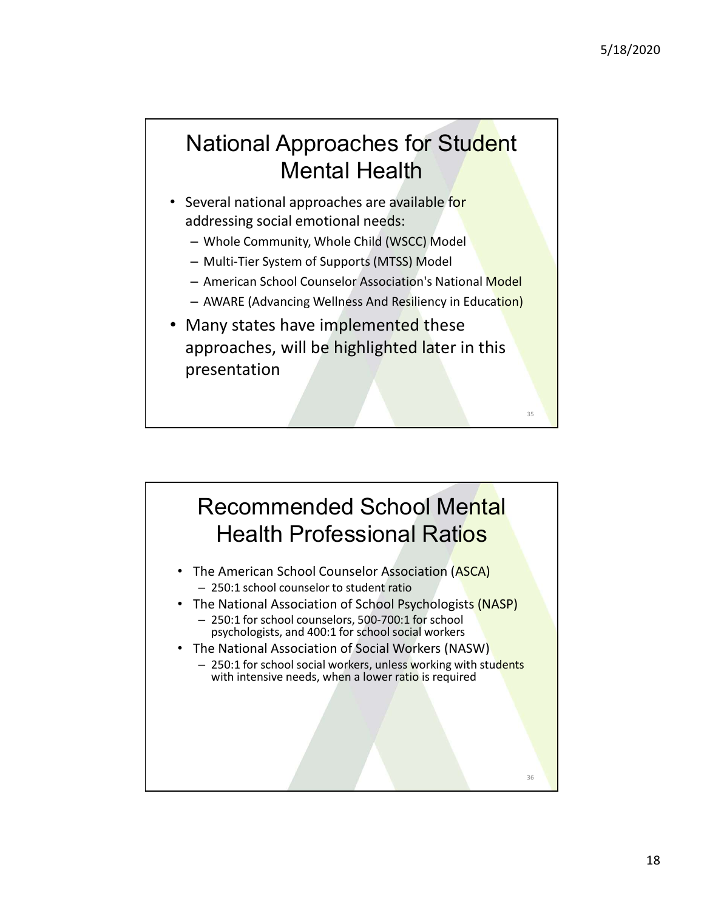## National Approaches for Student Mental Health

- Several national approaches are available for addressing social emotional needs:
	- Whole Community, Whole Child (WSCC) Model
	- Multi-Tier System of Supports (MTSS) Model
	- American School Counselor Association's National Model
	- AWARE (Advancing Wellness And Resiliency in Education)
- Many states have implemented these approaches, will be highlighted later in this presentation  $\frac{1}{35}$

### Recommended School Mental Health Professional Ratios

- The American School Counselor Association (ASCA) – 250:1 school counselor to student ratio
- The National Association of School Psychologists (NASP) – 250:1 for school counselors, 500-700:1 for school psychologists, and 400:1 for school social workers
- The National Association of Social Workers (NASW)
	- 250:1 for school social workers, unless working with students with intensive needs, when a lower ratio is required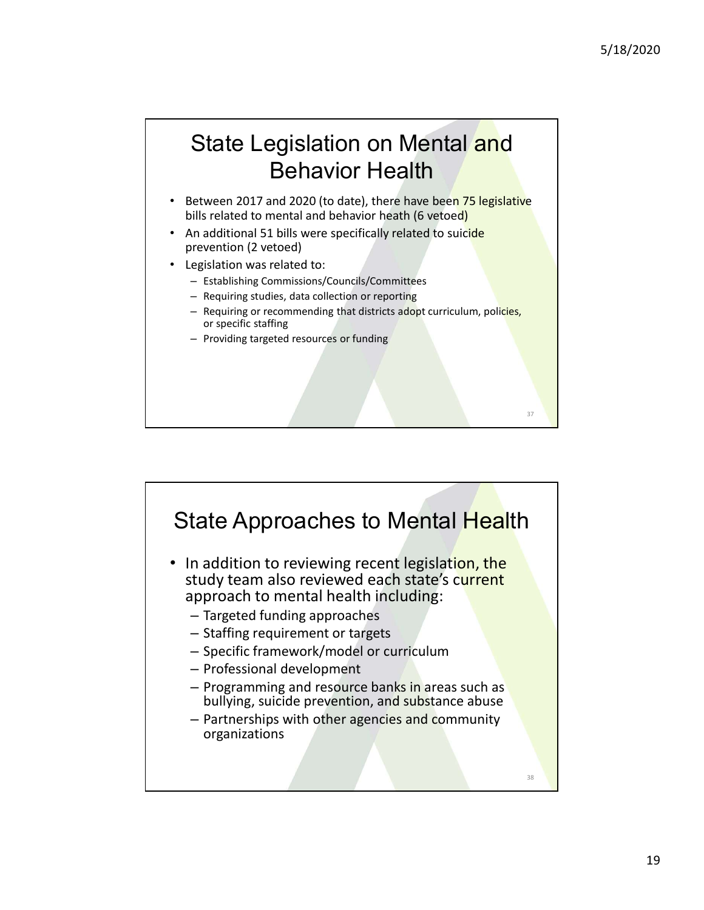37

## State Legislation on Mental and Behavior Health

- Between 2017 and 2020 (to date), there have been 75 legislative bills related to mental and behavior heath (6 vetoed)
- An additional 51 bills were specifically related to suicide prevention (2 vetoed)
- Legislation was related to:
	- Establishing Commissions/Councils/Committees
	- Requiring studies, data collection or reporting
	- Requiring or recommending that districts adopt curriculum, policies, or specific staffing
	- Providing targeted resources or funding

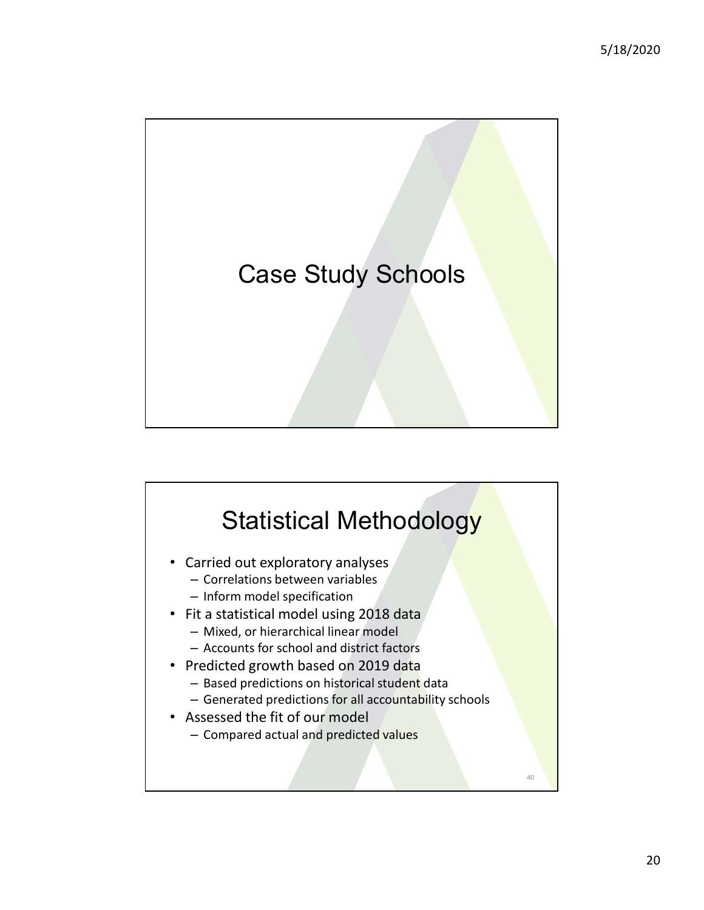

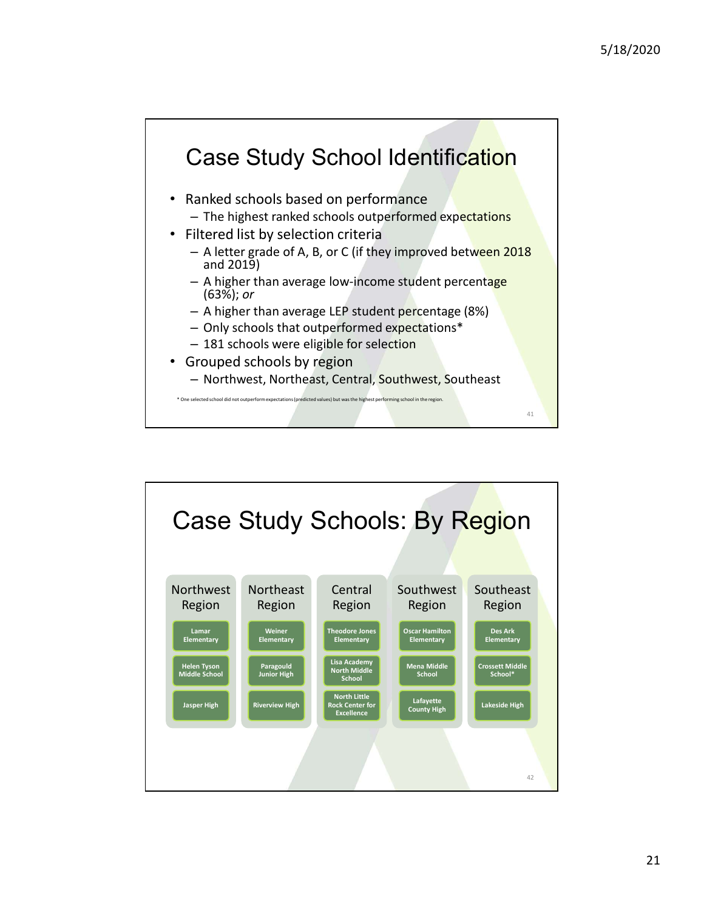

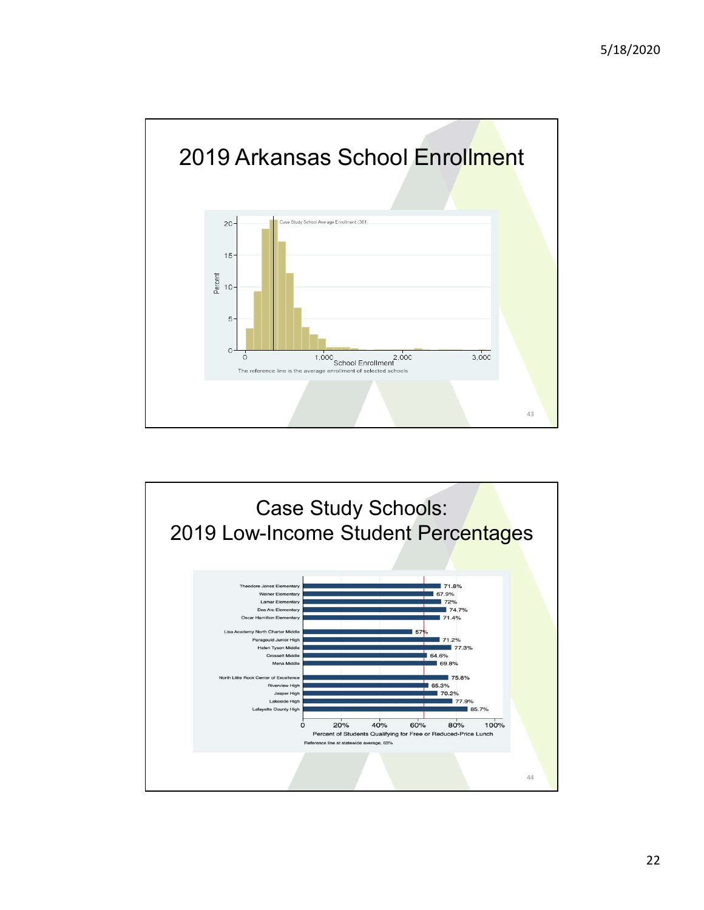